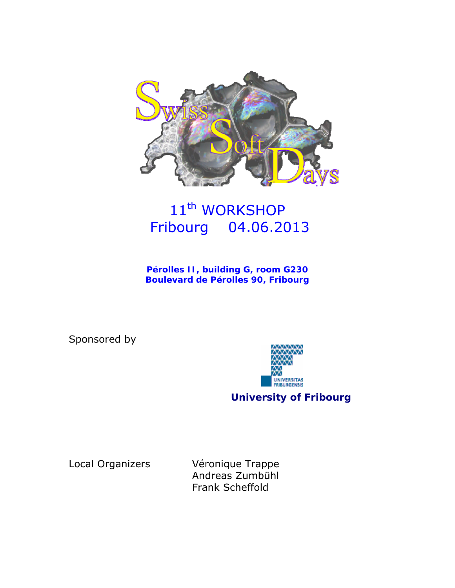

# 11<sup>th</sup> WORKSHOP Fribourg 04.06.2013

**Pérolles II, building G, room G230 Boulevard de Pérolles 90, Fribourg** 

Sponsored by



**University of Fribourg** 

Local Organizers Véronique Trappe Andreas Zumbühl Frank Scheffold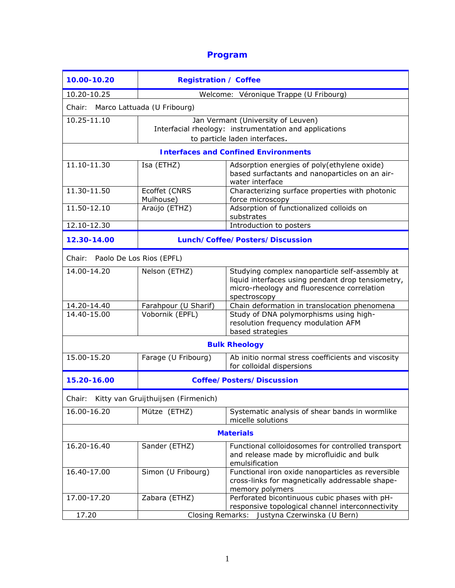# **Program**

| 10.00-10.20                                   | <b>Registration / Coffee</b>                                                                                                  |                                                                                                                                                                    |  |  |
|-----------------------------------------------|-------------------------------------------------------------------------------------------------------------------------------|--------------------------------------------------------------------------------------------------------------------------------------------------------------------|--|--|
| 10.20-10.25                                   | Welcome: Véronique Trappe (U Fribourg)                                                                                        |                                                                                                                                                                    |  |  |
| Chair: Marco Lattuada (U Fribourg)            |                                                                                                                               |                                                                                                                                                                    |  |  |
| 10.25-11.10                                   | Jan Vermant (University of Leuven)<br>Interfacial rheology: instrumentation and applications<br>to particle laden interfaces. |                                                                                                                                                                    |  |  |
| <b>Interfaces and Confined Environments</b>   |                                                                                                                               |                                                                                                                                                                    |  |  |
| 11.10-11.30                                   | Isa (ETHZ)                                                                                                                    | Adsorption energies of poly(ethylene oxide)<br>based surfactants and nanoparticles on an air-<br>water interface                                                   |  |  |
| $11.30 - 11.50$                               | Ecoffet (CNRS<br>Mulhouse)                                                                                                    | Characterizing surface properties with photonic<br>force microscopy                                                                                                |  |  |
| 11.50-12.10                                   | Araújo (ETHZ)                                                                                                                 | Adsorption of functionalized colloids on<br>substrates                                                                                                             |  |  |
| $12.10 - 12.30$                               |                                                                                                                               | Introduction to posters                                                                                                                                            |  |  |
| 12.30-14.00                                   | Lunch/Coffee/Posters/Discussion                                                                                               |                                                                                                                                                                    |  |  |
| Chair: Paolo De Los Rios (EPFL)               |                                                                                                                               |                                                                                                                                                                    |  |  |
| 14.00-14.20                                   | Nelson (ETHZ)                                                                                                                 | Studying complex nanoparticle self-assembly at<br>liquid interfaces using pendant drop tensiometry,<br>micro-rheology and fluorescence correlation<br>spectroscopy |  |  |
| 14.20-14.40                                   | Farahpour (U Sharif)                                                                                                          | Chain deformation in translocation phenomena                                                                                                                       |  |  |
| 14.40-15.00                                   | Vobornik (EPFL)                                                                                                               | Study of DNA polymorphisms using high-<br>resolution frequency modulation AFM<br>based strategies                                                                  |  |  |
| <b>Bulk Rheology</b>                          |                                                                                                                               |                                                                                                                                                                    |  |  |
| 15.00-15.20                                   | Farage (U Fribourg)                                                                                                           | Ab initio normal stress coefficients and viscosity<br>for colloidal dispersions                                                                                    |  |  |
| 15.20-16.00                                   | <b>Coffee/Posters/Discussion</b>                                                                                              |                                                                                                                                                                    |  |  |
| Kitty van Gruijthuijsen (Firmenich)<br>Chair: |                                                                                                                               |                                                                                                                                                                    |  |  |
| 16.00-16.20                                   | Mütze (ETHZ)                                                                                                                  | Systematic analysis of shear bands in wormlike<br>micelle solutions                                                                                                |  |  |
| <b>Materials</b>                              |                                                                                                                               |                                                                                                                                                                    |  |  |
| 16.20-16.40                                   | Sander (ETHZ)                                                                                                                 | Functional colloidosomes for controlled transport<br>and release made by microfluidic and bulk<br>emulsification                                                   |  |  |
| 16.40-17.00                                   | Simon (U Fribourg)                                                                                                            | Functional iron oxide nanoparticles as reversible<br>cross-links for magnetically addressable shape-<br>memory polymers                                            |  |  |
| 17.00-17.20                                   | Zabara (ETHZ)                                                                                                                 | Perforated bicontinuous cubic phases with pH-<br>responsive topological channel interconnectivity                                                                  |  |  |
| 17.20                                         |                                                                                                                               | Closing Remarks: Justyna Czerwinska (U Bern)                                                                                                                       |  |  |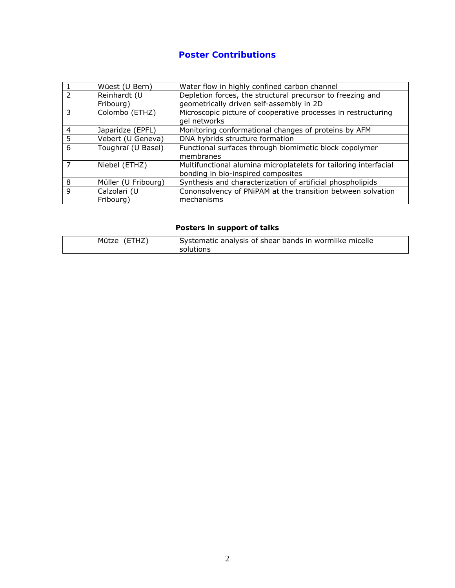# **Poster Contributions**

|   | Wüest (U Bern)      | Water flow in highly confined carbon channel                                  |
|---|---------------------|-------------------------------------------------------------------------------|
|   | Reinhardt (U        | Depletion forces, the structural precursor to freezing and                    |
|   | Fribourg)           | geometrically driven self-assembly in 2D                                      |
|   | Colombo (ETHZ)      | Microscopic picture of cooperative processes in restructuring<br>gel networks |
| 4 | Japaridze (EPFL)    | Monitoring conformational changes of proteins by AFM                          |
| 5 | Vebert (U Geneva)   | DNA hybrids structure formation                                               |
| 6 | Toughraï (U Basel)  | Functional surfaces through biomimetic block copolymer                        |
|   |                     | membranes                                                                     |
| 7 | Niebel (ETHZ)       | Multifunctional alumina microplatelets for tailoring interfacial              |
|   |                     | bonding in bio-inspired composites                                            |
| 8 | Müller (U Fribourg) | Synthesis and characterization of artificial phospholipids                    |
| q | Calzolari (U        | Cononsolvency of PNiPAM at the transition between solvation                   |
|   | Fribourg)           | mechanisms                                                                    |

## *Posters in support of talks*

| Mütze (ETHZ) | Systematic analysis of shear bands in wormlike micelle |
|--------------|--------------------------------------------------------|
|              | solutions                                              |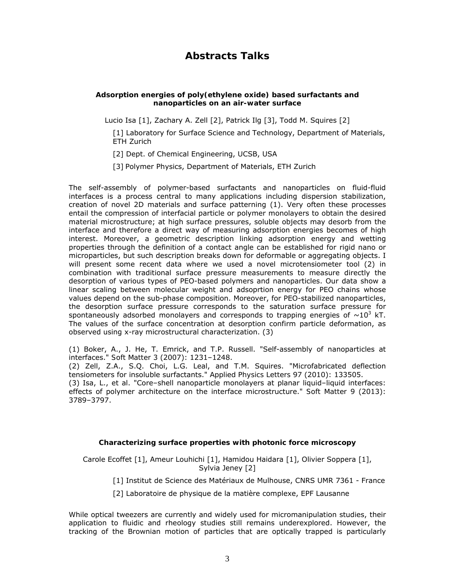# **Abstracts Talks**

#### **Adsorption energies of poly(ethylene oxide) based surfactants and nanoparticles on an air-water surface**

Lucio Isa [1], Zachary A. Zell [2], Patrick Ilg [3], Todd M. Squires [2]

[1] Laboratory for Surface Science and Technology, Department of Materials, ETH Zurich

[2] Dept. of Chemical Engineering, UCSB, USA

[3] Polymer Physics, Department of Materials, ETH Zurich

The self-assembly of polymer-based surfactants and nanoparticles on fluid-fluid interfaces is a process central to many applications including dispersion stabilization, creation of novel 2D materials and surface patterning (1). Very often these processes entail the compression of interfacial particle or polymer monolayers to obtain the desired material microstructure; at high surface pressures, soluble objects may desorb from the interface and therefore a direct way of measuring adsorption energies becomes of high interest. Moreover, a geometric description linking adsorption energy and wetting properties through the definition of a contact angle can be established for rigid nano or microparticles, but such description breaks down for deformable or aggregating objects. I will present some recent data where we used a novel microtensiometer tool (2) in combination with traditional surface pressure measurements to measure directly the desorption of various types of PEO-based polymers and nanoparticles. Our data show a linear scaling between molecular weight and adsoprtion energy for PEO chains whose values depend on the sub-phase composition. Moreover, for PEO-stabilized nanoparticles, the desorption surface pressure corresponds to the saturation surface pressure for spontaneously adsorbed monolayers and corresponds to trapping energies of  $\sim$ 10<sup>3</sup> kT. The values of the surface concentration at desorption confirm particle deformation, as observed using x-ray microstructural characterization. (3)

(1) Boker, A., J. He, T. Emrick, and T.P. Russell. "Self-assembly of nanoparticles at interfaces." *Soft Matter* 3 (2007): 1231–1248.

(2) Zell, Z.A., S.Q. Choi, L.G. Leal, and T.M. Squires. "Microfabricated deflection tensiometers for insoluble surfactants." *Applied Physics Letters* 97 (2010): 133505.

(3) Isa, L., et al. "Core–shell nanoparticle monolayers at planar liquid–liquid interfaces: effects of polymer architecture on the interface microstructure." *Soft Matter* 9 (2013): 3789–3797.

## **Characterizing surface properties with photonic force microscopy**

Carole Ecoffet [1], Ameur Louhichi [1], Hamidou Haidara [1], Olivier Soppera [1], Sylvia Jeney [2]

[1] Institut de Science des Matériaux de Mulhouse, CNRS UMR 7361 - France

[2] Laboratoire de physique de la matière complexe, EPF Lausanne

While optical tweezers are currently and widely used for micromanipulation studies, their application to fluidic and rheology studies still remains underexplored. However, the tracking of the Brownian motion of particles that are optically trapped is particularly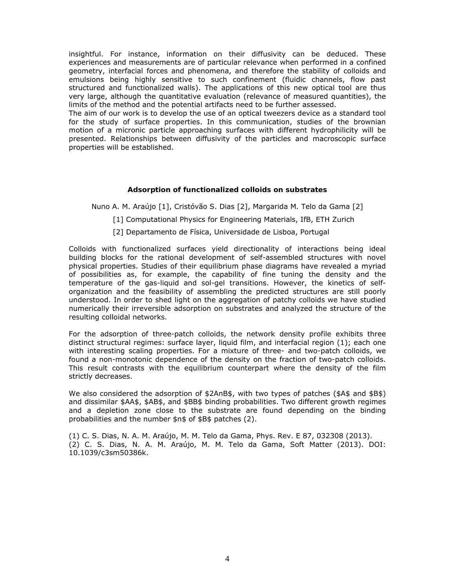insightful. For instance, information on their diffusivity can be deduced. These experiences and measurements are of particular relevance when performed in a confined geometry, interfacial forces and phenomena, and therefore the stability of colloids and emulsions being highly sensitive to such confinement (fluidic channels, flow past structured and functionalized walls). The applications of this new optical tool are thus very large, although the quantitative evaluation (relevance of measured quantities), the limits of the method and the potential artifacts need to be further assessed.

The aim of our work is to develop the use of an optical tweezers device as a standard tool for the study of surface properties. In this communication, studies of the brownian motion of a micronic particle approaching surfaces with different hydrophilicity will be presented. Relationships between diffusivity of the particles and macroscopic surface properties will be established.

#### **Adsorption of functionalized colloids on substrates**

Nuno A. M. Araújo [1], Cristóvão S. Dias [2], Margarida M. Telo da Gama [2]

[1] Computational Physics for Engineering Materials, IfB, ETH Zurich

[2] Departamento de Física, Universidade de Lisboa, Portugal

Colloids with functionalized surfaces yield directionality of interactions being ideal building blocks for the rational development of self-assembled structures with novel physical properties. Studies of their equilibrium phase diagrams have revealed a myriad of possibilities as, for example, the capability of fine tuning the density and the temperature of the gas-liquid and sol-gel transitions. However, the kinetics of selforganization and the feasibility of assembling the predicted structures are still poorly understood. In order to shed light on the aggregation of patchy colloids we have studied numerically their irreversible adsorption on substrates and analyzed the structure of the resulting colloidal networks.

For the adsorption of three-patch colloids, the network density profile exhibits three distinct structural regimes: surface layer, liquid film, and interfacial region (1); each one with interesting scaling properties. For a mixture of three- and two-patch colloids, we found a non-monotonic dependence of the density on the fraction of two-patch colloids. This result contrasts with the equilibrium counterpart where the density of the film strictly decreases.

We also considered the adsorption of \$2AnB\$, with two types of patches (\$A\$ and \$B\$) and dissimilar \$AA\$, \$AB\$, and \$BB\$ binding probabilities. Two different growth regimes and a depletion zone close to the substrate are found depending on the binding probabilities and the number \$n\$ of \$B\$ patches (2).

(1) C. S. Dias, N. A. M. Araújo, M. M. Telo da Gama, Phys. Rev. E 87, 032308 (2013). (2) C. S. Dias, N. A. M. Araújo, M. M. Telo da Gama, Soft Matter (2013). DOI: 10.1039/c3sm50386k.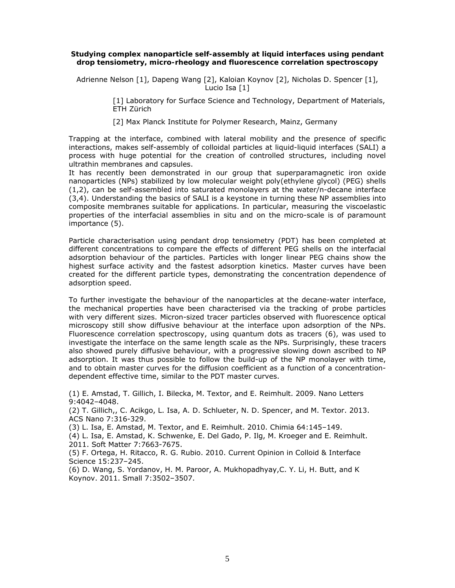#### **Studying complex nanoparticle self-assembly at liquid interfaces using pendant drop tensiometry, micro-rheology and fluorescence correlation spectroscopy**

Adrienne Nelson [1], Dapeng Wang [2], Kaloian Koynov [2], Nicholas D. Spencer [1], Lucio Isa [1]

> [1] Laboratory for Surface Science and Technology, Department of Materials, ETH Zürich

[2] Max Planck Institute for Polymer Research, Mainz, Germany

Trapping at the interface, combined with lateral mobility and the presence of specific interactions, makes self-assembly of colloidal particles at liquid-liquid interfaces (SALI) a process with huge potential for the creation of controlled structures, including novel ultrathin membranes and capsules.

It has recently been demonstrated in our group that superparamagnetic iron oxide nanoparticles (NPs) stabilized by low molecular weight poly(ethylene glycol) (PEG) shells (1,2), can be self-assembled into saturated monolayers at the water/n-decane interface (3,4). Understanding the basics of SALI is a keystone in turning these NP assemblies into composite membranes suitable for applications. In particular, measuring the viscoelastic properties of the interfacial assemblies in situ and on the micro-scale is of paramount importance (5).

Particle characterisation using pendant drop tensiometry (PDT) has been completed at different concentrations to compare the effects of different PEG shells on the interfacial adsorption behaviour of the particles. Particles with longer linear PEG chains show the highest surface activity and the fastest adsorption kinetics. Master curves have been created for the different particle types, demonstrating the concentration dependence of adsorption speed.

To further investigate the behaviour of the nanoparticles at the decane-water interface, the mechanical properties have been characterised via the tracking of probe particles with very different sizes. Micron-sized tracer particles observed with fluorescence optical microscopy still show diffusive behaviour at the interface upon adsorption of the NPs. Fluorescence correlation spectroscopy, using quantum dots as tracers (6), was used to investigate the interface on the same length scale as the NPs. Surprisingly, these tracers also showed purely diffusive behaviour, with a progressive slowing down ascribed to NP adsorption. It was thus possible to follow the build-up of the NP monolayer with time, and to obtain master curves for the diffusion coefficient as a function of a concentrationdependent effective time, similar to the PDT master curves.

(1) E. Amstad, T. Gillich, I. Bilecka, M. Textor, and E. Reimhult. 2009. Nano Letters 9:4042–4048.

(2) T. Gillich,, C. Acikgo, L. Isa, A. D. Schlueter, N. D. Spencer, and M. Textor. 2013. ACS Nano 7:316-329.

(3) L. Isa, E. Amstad, M. Textor, and E. Reimhult. 2010. Chimia 64:145–149.

(4) L. Isa, E. Amstad, K. Schwenke, E. Del Gado, P. Ilg, M. Kroeger and E. Reimhult. 2011. Soft Matter 7:7663-7675.

(5) F. Ortega, H. Ritacco, R. G. Rubio. 2010. Current Opinion in Colloid & Interface Science 15:237–245.

(6) D. Wang, S. Yordanov, H. M. Paroor, A. Mukhopadhyay,C. Y. Li, H. Butt, and K Koynov. 2011. Small 7:3502–3507.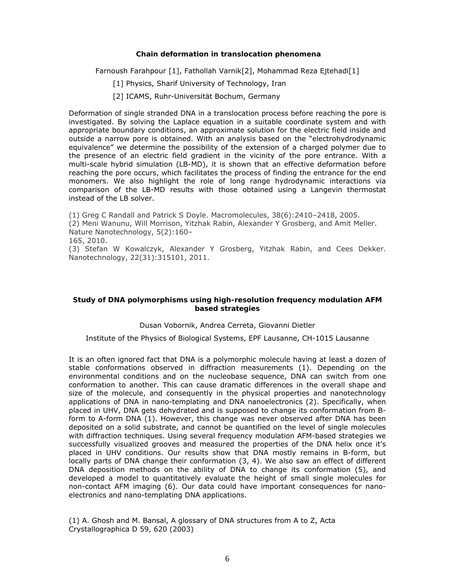#### **Chain deformation in translocation phenomena**

Farnoush Farahpour [1], Fathollah Varnik[2], Mohammad Reza Ejtehadi[1]

- [1] Physics, Sharif University of Technology, Iran
- [2] ICAMS, Ruhr-Universität Bochum, Germany

Deformation of single stranded DNA in a translocation process before reaching the pore is investigated. By solving the Laplace equation in a suitable coordinate system and with appropriate boundary conditions, an approximate solution for the electric field inside and outside a narrow pore is obtained. With an analysis based on the "electrohydrodynamic equivalence" we determine the possibility of the extension of a charged polymer due to the presence of an electric field gradient in the vicinity of the pore entrance. With a multi-scale hybrid simulation (LB-MD), it is shown that an effective deformation before reaching the pore occurs, which facilitates the process of finding the entrance for the end monomers. We also highlight the role of long range hydrodynamic interactions via comparison of the LB-MD results with those obtained using a Langevin thermostat instead of the LB solver.

(1) Greg C Randall and Patrick S Doyle. Macromolecules, 38(6):2410–2418, 2005.

(2) Meni Wanunu, Will Morrison, Yitzhak Rabin, Alexander Y Grosberg, and Amit Meller. Nature Nanotechnology, 5(2):160–

165, 2010.

(3) Stefan W Kowalczyk, Alexander Y Grosberg, Yitzhak Rabin, and Cees Dekker. Nanotechnology, 22(31):315101, 2011.

#### **Study of DNA polymorphisms using high-resolution frequency modulation AFM based strategies**

#### Dusan Vobornik, Andrea Cerreta, Giovanni Dietler

Institute of the Physics of Biological Systems, EPF Lausanne, CH-1015 Lausanne

It is an often ignored fact that DNA is a polymorphic molecule having at least a dozen of stable conformations observed in diffraction measurements (1). Depending on the environmental conditions and on the nucleobase sequence, DNA can switch from one conformation to another. This can cause dramatic differences in the overall shape and size of the molecule, and consequently in the physical properties and nanotechnology applications of DNA in nano-templating and DNA nanoelectronics (2). Specifically, when placed in UHV, DNA gets dehydrated and is supposed to change its conformation from Bform to A-form DNA (1). However, this change was never observed after DNA has been deposited on a solid substrate, and cannot be quantified on the level of single molecules with diffraction techniques. Using several frequency modulation AFM-based strategies we successfully visualized grooves and measured the properties of the DNA helix once it's placed in UHV conditions. Our results show that DNA mostly remains in B-form, but locally parts of DNA change their conformation (3, 4). We also saw an effect of different DNA deposition methods on the ability of DNA to change its conformation (5), and developed a model to quantitatively evaluate the height of small single molecules for non-contact AFM imaging (6). Our data could have important consequences for nanoelectronics and nano-templating DNA applications.

(1) A. Ghosh and M. Bansal, A glossary of DNA structures from A to Z, Acta Crystallographica D 59, 620 (2003)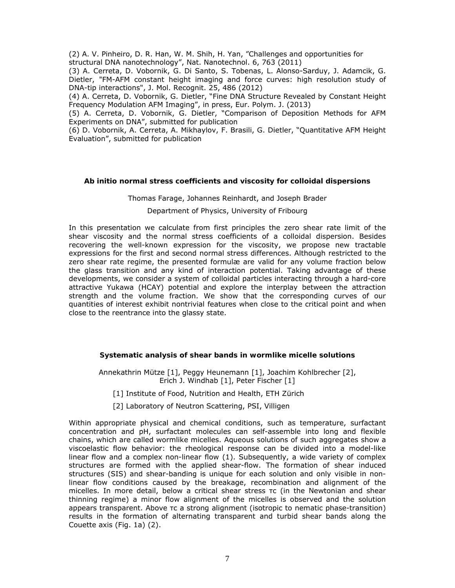(2) A. V. Pinheiro, D. R. Han, W. M. Shih, H. Yan, "Challenges and opportunities for structural DNA nanotechnology", Nat. Nanotechnol. 6, 763 (2011)

(3) A. Cerreta, D. Vobornik, G. Di Santo, S. Tobenas, L. Alonso-Sarduy, J. Adamcik, G. Dietler, "FM-AFM constant height imaging and force curves: high resolution study of DNA-tip interactions", J. Mol. Recognit. 25, 486 (2012)

(4) A. Cerreta, D. Vobornik, G. Dietler, "Fine DNA Structure Revealed by Constant Height Frequency Modulation AFM Imaging", in press, Eur. Polym. J. (2013)

(5) A. Cerreta, D. Vobornik, G. Dietler, "Comparison of Deposition Methods for AFM Experiments on DNA", submitted for publication

(6) D. Vobornik, A. Cerreta, A. Mikhaylov, F. Brasili, G. Dietler, "Quantitative AFM Height Evaluation", submitted for publication

#### **Ab initio normal stress coefficients and viscosity for colloidal dispersions**

## Thomas Farage, Johannes Reinhardt, and Joseph Brader Department of Physics, University of Fribourg

In this presentation we calculate from first principles the zero shear rate limit of the shear viscosity and the normal stress coefficients of a colloidal dispersion. Besides recovering the well-known expression for the viscosity, we propose new tractable expressions for the first and second normal stress differences. Although restricted to the zero shear rate regime, the presented formulæ are valid for any volume fraction below the glass transition and any kind of interaction potential. Taking advantage of these developments, we consider a system of colloidal particles interacting through a hard-core attractive Yukawa (HCAY) potential and explore the interplay between the attraction strength and the volume fraction. We show that the corresponding curves of our quantities of interest exhibit nontrivial features when close to the critical point and when close to the reentrance into the glassy state.

#### **Systematic analysis of shear bands in wormlike micelle solutions**

Annekathrin Mütze [1], Peggy Heunemann [1], Joachim Kohlbrecher [2], Erich J. Windhab [1], Peter Fischer [1]

[1] Institute of Food, Nutrition and Health, ETH Zürich

[2] Laboratory of Neutron Scattering, PSI, Villigen

Within appropriate physical and chemical conditions, such as temperature, surfactant concentration and pH, surfactant molecules can self-assemble into long and flexible chains, which are called wormlike micelles. Aqueous solutions of such aggregates show a viscoelastic flow behavior: the rheological response can be divided into a model-like linear flow and a complex non-linear flow (1). Subsequently, a wide variety of complex structures are formed with the applied shear-flow. The formation of shear induced structures (SIS) and shear-banding is unique for each solution and only visible in nonlinear flow conditions caused by the breakage, recombination and alignment of the micelles. In more detail, below a critical shear stress τc (in the Newtonian and shear thinning regime) a minor flow alignment of the micelles is observed and the solution appears transparent. Above τc a strong alignment (isotropic to nematic phase-transition) results in the formation of alternating transparent and turbid shear bands along the Couette axis (Fig. 1a) (2).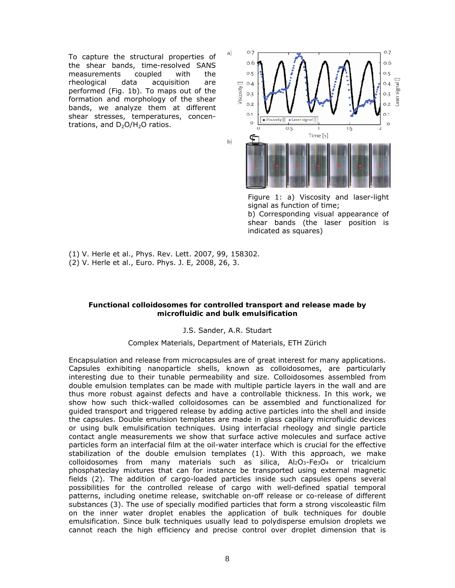To capture the structural properties of the shear bands, time-resolved SANS measurements coupled with the rheological data acquisition are performed (Fig. 1b). To maps out of the formation and morphology of the shear bands, we analyze them at different shear stresses, temperatures, concentrations, and  $D_2O/H_2O$  ratios.



Figure 1: a) Viscosity and laser-light signal as function of time; b) Corresponding visual appearance of shear bands (the laser position is indicated as squares)

(1) V. Herle et al., Phys. Rev. Lett. 2007, *99*, 158302. (2) V. Herle et al., Euro. Phys. J. E, 2008, *26*, 3.

#### **Functional colloidosomes for controlled transport and release made by microfluidic and bulk emulsification**

#### J.S. Sander, A.R. Studart

#### Complex Materials, Department of Materials, ETH Zürich

Encapsulation and release from microcapsules are of great interest for many applications. Capsules exhibiting nanoparticle shells, known as colloidosomes, are particularly interesting due to their tunable permeability and size. Colloidosomes assembled from double emulsion templates can be made with multiple particle layers in the wall and are thus more robust against defects and have a controllable thickness. In this work, we show how such thick-walled colloidosomes can be assembled and functionalized for guided transport and triggered release by adding active particles into the shell and inside the capsules. Double emulsion templates are made in glass capillary microfluidic devices or using bulk emulsification techniques. Using interfacial rheology and single particle contact angle measurements we show that surface active molecules and surface active particles form an interfacial film at the oil-water interface which is crucial for the effective stabilization of the double emulsion templates (1). With this approach, we make colloidosomes from many materials such as silica, Al2O3-Fe3O4 or tricalcium phosphateclay mixtures that can for instance be transported using external magnetic fields (2). The addition of cargo-loaded particles inside such capsules opens several possibilities for the controlled release of cargo with well-defined spatial temporal patterns, including onetime release, switchable on-off release or co-release of different substances (3). The use of specially modified particles that form a strong viscoleastic film on the inner water droplet enables the application of bulk techniques for double emulsification. Since bulk techniques usually lead to polydisperse emulsion droplets we cannot reach the high efficiency and precise control over droplet dimension that is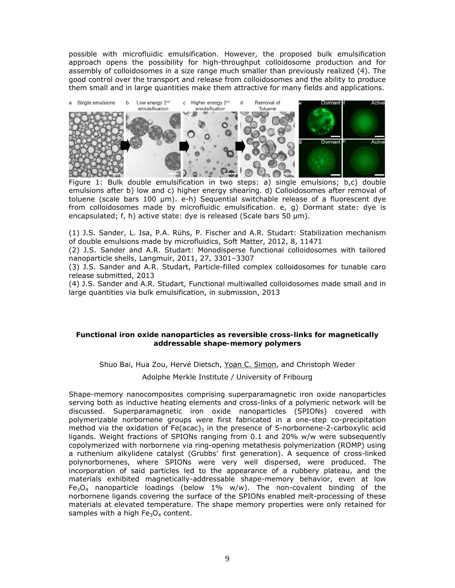possible with microfluidic emulsification. However, the proposed bulk emulsification approach opens the possibility for high-throughput colloidosome production and for assembly of colloidosomes in a size range much smaller than previously realized (4). The good control over the transport and release from colloidosomes and the ability to produce them small and in large quantities make them attractive for many fields and applications.



Figure 1: Bulk double emulsification in two steps: a) single emulsions; b,c) double emulsions after b) low and c) higher energy shearing. d) Colloidosomes after removal of toluene (scale bars 100 μm). e-h) Sequential switchable release of a fluorescent dye from colloidosomes made by microfluidic emulsification. e, g) Dormant state: dye is encapsulated; f, h) active state: dye is released (Scale bars 50 μm).

(1) J.S. Sander, L. Isa, P.A. Rühs, P. Fischer and A.R. Studart: Stabilization mechanism of double emulsions made by microfluidics, Soft Matter, 2012, 8, 11471

(2) J.S. Sander and A.R. Studart: Monodisperse functional colloidosomes with tailored nanoparticle shells, Langmuir, 2011, 27, 3301–3307

(3) J.S. Sander and A.R. Studart, Particle-filled complex colloidosomes for tunable caro release submitted, 2013

(4) J.S. Sander and A.R. Studart, Functional multiwalled colloidosomes made small and in large quantities via bulk emulsification, in submission, 2013

#### **Functional iron oxide nanoparticles as reversible cross-links for magnetically addressable shape-memory polymers**

Shuo Bai, Hua Zou, Hervé Dietsch, Yoan C. Simon, and Christoph Weder

Adolphe Merkle Institute / University of Fribourg

Shape-memory nanocomposites comprising superparamagnetic iron oxide nanoparticles serving both as inductive heating elements and cross-links of a polymeric network will be discussed. Superparamagnetic iron oxide nanoparticles (SPIONs) covered with polymerizable norbornene groups were first fabricated in a one-step co-precipitation method via the oxidation of  $Fe (acac)_3$  in the presence of 5-norbornene-2-carboxylic acid ligands. Weight fractions of SPIONs ranging from 0.1 and 20% w/w were subsequently copolymerized with norbornene via ring-opening metathesis polymerization (ROMP) using a ruthenium alkylidene catalyst (Grubbs' first generation). A sequence of cross-linked polynorbornenes, where SPIONs were very well dispersed, were produced. The incorporation of said particles led to the appearance of a rubbery plateau, and the materials exhibited magnetically-addressable shape-memory behavior, even at low Fe<sub>3</sub>O<sub>4</sub> nanoparticle loadings (below 1% w/w). The non-covalent binding of the norbornene ligands covering the surface of the SPIONs enabled melt-processing of these materials at elevated temperature. The shape memory properties were only retained for samples with a high  $Fe<sub>3</sub>O<sub>4</sub>$  content.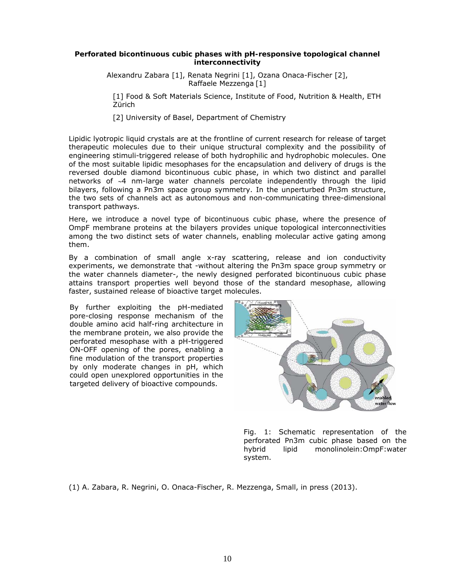#### **Perforated bicontinuous cubic phases with pH-responsive topological channel interconnectivity**

Alexandru Zabara [1], Renata Negrini [1], Ozana Onaca-Fischer [2], Raffaele Mezzenga [1]

[1] Food & Soft Materials Science, Institute of Food, Nutrition & Health, ETH Zürich

[2] University of Basel, Department of Chemistry

Lipidic lyotropic liquid crystals are at the frontline of current research for release of target therapeutic molecules due to their unique structural complexity and the possibility of engineering stimuli-triggered release of both hydrophilic and hydrophobic molecules. One of the most suitable lipidic mesophases for the encapsulation and delivery of drugs is the reversed double diamond bicontinuous cubic phase, in which two distinct and parallel networks of  $\sim$ 4 nm-large water channels percolate independently through the lipid bilayers, following a Pn3m space group symmetry. In the unperturbed Pn3m structure, the two sets of channels act as autonomous and non-communicating three-dimensional transport pathways.

Here, we introduce a novel type of bicontinuous cubic phase, where the presence of OmpF membrane proteins at the bilayers provides unique topological interconnectivities among the two distinct sets of water channels, enabling molecular active gating among them.

By a combination of small angle x-ray scattering, release and ion conductivity experiments, we demonstrate that -without altering the Pn3m space group symmetry or the water channels diameter-, the newly designed perforated bicontinuous cubic phase attains transport properties well beyond those of the standard mesophase, allowing faster, sustained release of bioactive target molecules.

By further exploiting the pH-mediated pore-closing response mechanism of the double amino acid half-ring architecture in the membrane protein, we also provide the perforated mesophase with a pH-triggered ON-OFF opening of the pores, enabling a fine modulation of the transport properties by only moderate changes in pH, which could open unexplored opportunities in the targeted delivery of bioactive compounds.



Fig. 1: Schematic representation of the perforated Pn3m cubic phase based on the hybrid lipid monolinolein:OmpF:water system.

(1) A. Zabara, R. Negrini, O. Onaca-Fischer, R. Mezzenga, *Small*, in press (2013).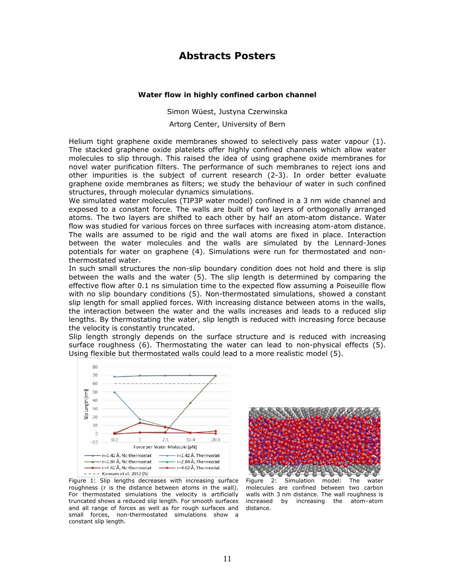## **Abstracts Posters**

#### **Water flow in highly confined carbon channel**

Simon Wüest, Justyna Czerwinska

Artorg Center, University of Bern

Helium tight graphene oxide membranes showed to selectively pass water vapour (1). The stacked graphene oxide platelets offer highly confined channels which allow water molecules to slip through. This raised the idea of using graphene oxide membranes for novel water purification filters. The performance of such membranes to reject ions and other impurities is the subject of current research (2-3). In order better evaluate graphene oxide membranes as filters; we study the behaviour of water in such confined structures, through molecular dynamics simulations.

We simulated water molecules (TIP3P water model) confined in a 3 nm wide channel and exposed to a constant force. The walls are built of two layers of orthogonally arranged atoms. The two layers are shifted to each other by half an atom-atom distance. Water flow was studied for various forces on three surfaces with increasing atom-atom distance. The walls are assumed to be rigid and the wall atoms are fixed in place. Interaction between the water molecules and the walls are simulated by the Lennard-Jones potentials for water on graphene (4). Simulations were run for thermostated and nonthermostated water.

In such small structures the non-slip boundary condition does not hold and there is slip between the walls and the water (5). The slip length is determined by comparing the effective flow after 0.1 ns simulation time to the expected flow assuming a Poiseuille flow with no slip boundary conditions (5). Non-thermostated simulations, showed a constant slip length for small applied forces. With increasing distance between atoms in the walls, the interaction between the water and the walls increases and leads to a reduced slip lengths. By thermostating the water, slip length is reduced with increasing force because the velocity is constantly truncated.

Slip length strongly depends on the surface structure and is reduced with increasing surface roughness (6). Thermostating the water can lead to non-physical effects (5). Using flexible but thermostated walls could lead to a more realistic model (5).



and all range of forces as well as for rough surfaces and small forces, non-thermostated simulations show a

constant slip length.

Figure 1: Slip lengths decreases with increasing surface roughness (r is the distance between atoms in the wall). For thermostated simulations the velocity is artificially truncated shows a reduced slip length. For smooth surfaces



Figure 2: Simulation model: The water molecules are confined between two carbon walls with 3 nm distance. The wall roughness is increased by increasing the atom–atom distance.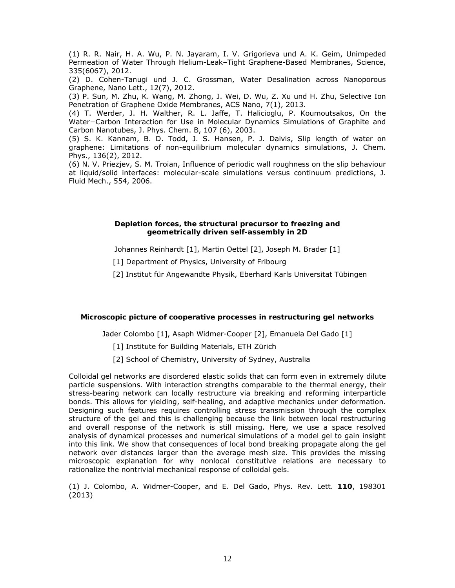(1) R. R. Nair, H. A. Wu, P. N. Jayaram, I. V. Grigorieva und A. K. Geim, Unimpeded Permeation of Water Through Helium-Leak–Tight Graphene-Based Membranes, Science, 335(6067), 2012.

(2) D. Cohen-Tanugi und J. C. Grossman, Water Desalination across Nanoporous Graphene, Nano Lett., 12(7), 2012.

(3) P. Sun, M. Zhu, K. Wang, M. Zhong, J. Wei, D. Wu, Z. Xu und H. Zhu, Selective Ion Penetration of Graphene Oxide Membranes, ACS Nano, 7(1), 2013.

(4) T. Werder, J. H. Walther, R. L. Jaffe, T. Halicioglu, P. Koumoutsakos, On the Water−Carbon Interaction for Use in Molecular Dynamics Simulations of Graphite and Carbon Nanotubes, J. Phys. Chem. B, 107 (6), 2003.

(5) S. K. Kannam, B. D. Todd, J. S. Hansen, P. J. Daivis, Slip length of water on graphene: Limitations of non-equilibrium molecular dynamics simulations, J. Chem. Phys., 136(2), 2012.

(6) N. V. Priezjev, S. M. Troian, Influence of periodic wall roughness on the slip behaviour at liquid/solid interfaces: molecular-scale simulations versus continuum predictions, J. Fluid Mech., 554, 2006.

#### **Depletion forces, the structural precursor to freezing and geometrically driven self-assembly in 2D**

Johannes Reinhardt [1], Martin Oettel [2], Joseph M. Brader [1]

[1] Department of Physics, University of Fribourg

[2] Institut für Angewandte Physik, Eberhard Karls Universitat Tübingen

#### **Microscopic picture of cooperative processes in restructuring gel networks**

Jader Colombo [1], Asaph Widmer-Cooper [2], Emanuela Del Gado [1]

- [1] Institute for Building Materials, ETH Zürich
- [2] School of Chemistry, University of Sydney, Australia

Colloidal gel networks are disordered elastic solids that can form even in extremely dilute particle suspensions. With interaction strengths comparable to the thermal energy, their stress-bearing network can locally *restructure* via breaking and reforming interparticle bonds. This allows for yielding, self-healing, and adaptive mechanics under deformation. Designing such features requires controlling stress transmission through the complex structure of the gel and this is challenging because the link between local restructuring and overall response of the network is still missing. Here, we use a space resolved analysis of dynamical processes and numerical simulations of a model gel to gain insight into this link. We show that consequences of local bond breaking propagate along the gel network over distances larger than the average mesh size. This provides the missing microscopic explanation for why nonlocal constitutive relations are necessary to rationalize the nontrivial mechanical response of colloidal gels.

(1) J. Colombo, A. Widmer-Cooper, and E. Del Gado, *Phys. Rev. Lett.* **110**, 198301 (2013)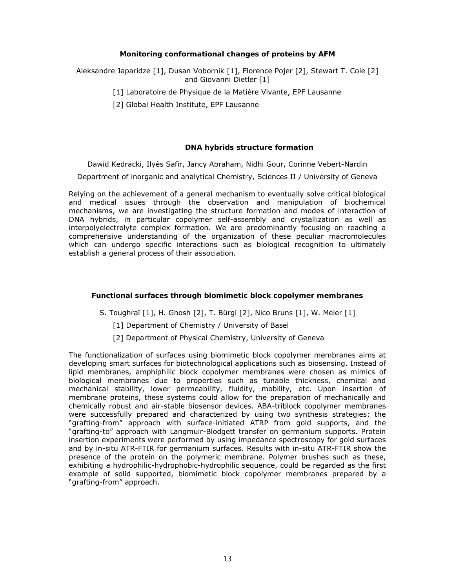#### **Monitoring conformational changes of proteins by AFM**

Aleksandre Japaridze [1], Dusan Vobornik [1], Florence Pojer [2], Stewart T. Cole [2] and Giovanni Dietler [1]

- [1] Laboratoire de Physique de la Matière Vivante, EPF Lausanne
- [2] Global Health Institute, EPF Lausanne

#### **DNA hybrids structure formation**

Dawid Kedracki, Ilyès Safir, Jancy Abraham, Nidhi Gour, Corinne Vebert-Nardin

Department of inorganic and analytical Chemistry, Sciences II / University of Geneva

Relying on the achievement of a general mechanism to eventually solve critical biological and medical issues through the observation and manipulation of biochemical mechanisms, we are investigating the structure formation and modes of interaction of DNA hybrids, in particular copolymer self-assembly and crystallization as well as interpolyelectrolyte complex formation. We are predominantly focusing on reaching a comprehensive understanding of the organization of these peculiar macromolecules which can undergo specific interactions such as biological recognition to ultimately establish a general process of their association.

### **Functional surfaces through biomimetic block copolymer membranes**

S. Toughraï [1], H. Ghosh [2], T. Bürgi [2], Nico Bruns [1], W. Meier [1]

- [1] Department of Chemistry / University of Basel
- [2] Department of Physical Chemistry, University of Geneva

The functionalization of surfaces using biomimetic block copolymer membranes aims at developing smart surfaces for biotechnological applications such as biosensing. Instead of lipid membranes, amphiphilic block copolymer membranes were chosen as mimics of biological membranes due to properties such as tunable thickness, chemical and mechanical stability, lower permeability, fluidity, mobility, etc. Upon insertion of membrane proteins, these systems could allow for the preparation of mechanically and chemically robust and air-stable biosensor devices. ABA-triblock copolymer membranes were successfully prepared and characterized by using two synthesis strategies: the "grafting-from" approach with surface-initiated ATRP from gold supports, and the "grafting-to" approach with Langmuir-Blodgett transfer on germanium supports. Protein insertion experiments were performed by using impedance spectroscopy for gold surfaces and by in-situ ATR-FTIR for germanium surfaces. Results with in-situ ATR-FTIR show the presence of the protein on the polymeric membrane. Polymer brushes such as these, exhibiting a hydrophilic-hydrophobic-hydrophilic sequence, could be regarded as the first example of solid supported, biomimetic block copolymer membranes prepared by a "grafting-from" approach.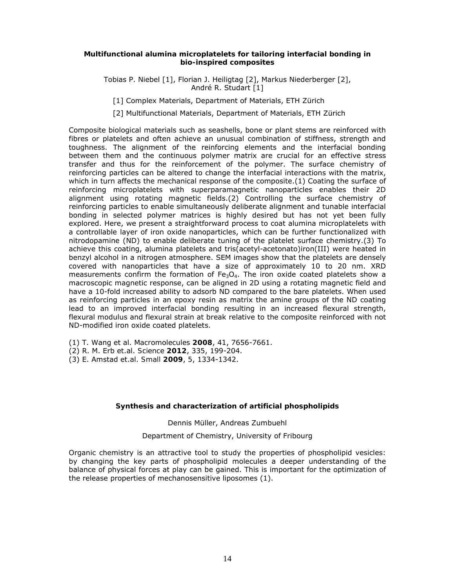#### **Multifunctional alumina microplatelets for tailoring interfacial bonding in bio-inspired composites**

Tobias P. Niebel [1], Florian J. Heiligtag [2], Markus Niederberger [2], André R. Studart [1]

[1] Complex Materials, Department of Materials, ETH Zürich

[2] Multifunctional Materials, Department of Materials, ETH Zürich

Composite biological materials such as seashells, bone or plant stems are reinforced with fibres or platelets and often achieve an unusual combination of stiffness, strength and toughness. The alignment of the reinforcing elements and the interfacial bonding between them and the continuous polymer matrix are crucial for an effective stress transfer and thus for the reinforcement of the polymer. The surface chemistry of reinforcing particles can be altered to change the interfacial interactions with the matrix, which in turn affects the mechanical response of the composite.(1) Coating the surface of reinforcing microplatelets with superparamagnetic nanoparticles enables their 2D alignment using rotating magnetic fields.(2) Controlling the surface chemistry of reinforcing particles to enable simultaneously deliberate alignment and tunable interfacial bonding in selected polymer matrices is highly desired but has not yet been fully explored. Here, we present a straightforward process to coat alumina microplatelets with a controllable layer of iron oxide nanoparticles, which can be further functionalized with nitrodopamine (ND) to enable deliberate tuning of the platelet surface chemistry.(3) To achieve this coating, alumina platelets and tris(acetyl-acetonato)iron(III) were heated in benzyl alcohol in a nitrogen atmosphere. SEM images show that the platelets are densely covered with nanoparticles that have a size of approximately 10 to 20 nm. XRD measurements confirm the formation of  $Fe<sub>3</sub>O<sub>4</sub>$ . The iron oxide coated platelets show a macroscopic magnetic response, can be aligned in 2D using a rotating magnetic field and have a 10-fold increased ability to adsorb ND compared to the bare platelets. When used as reinforcing particles in an epoxy resin as matrix the amine groups of the ND coating lead to an improved interfacial bonding resulting in an increased flexural strength, flexural modulus and flexural strain at break relative to the composite reinforced with not ND-modified iron oxide coated platelets.

- (1) T. Wang et al. *Macromolecules* **2008**, *41*, 7656-7661.
- (2) R. M. Erb et.al. *Science* **2012**, *335*, 199-204.
- (3) E. Amstad et.al. *Small* **2009**, *5*, 1334-1342.

#### **Synthesis and characterization of artificial phospholipids**

#### Dennis Müller, Andreas Zumbuehl

#### Department of Chemistry, University of Fribourg

Organic chemistry is an attractive tool to study the properties of phospholipid vesicles: by changing the key parts of phospholipid molecules a deeper understanding of the balance of physical forces at play can be gained. This is important for the optimization of the release properties of mechanosensitive liposomes (1).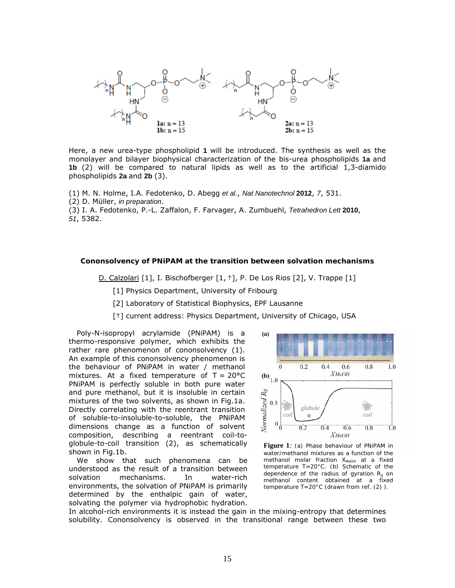

Here, a new urea-type phospholipid **1** will be introduced. The synthesis as well as the monolayer and bilayer biophysical characterization of the bis-urea phospholipids **1a** and **1b** (2) will be compared to natural lipids as well as to the artificial 1,3-diamido phospholipids **2a** and **2b** (3).

(1) M. N. Holme, I.A. Fedotenko, D. Abegg *et al.*, *Nat Nanotechnol* **2012**, *7*, 531.

(2) D. Müller, *in preparation*.

(3) I. A. Fedotenko, P.-L. Zaffalon, F. Farvager, A. Zumbuehl, *Tetrahedron Lett* **2010**, *51*, 5382.

#### **Cononsolvency of PNiPAM at the transition between solvation mechanisms**

D. Calzolari [1], I. Bischofberger [1, <sup>+</sup>], P. De Los Rios [2], V. Trappe [1]

[1] Physics Department, University of Fribourg

[2] Laboratory of Statistical Biophysics, EPF Lausanne

[ $\dagger$ ] current address: Physics Department, University of Chicago, USA

Poly-N-isopropyl acrylamide (PNiPAM) is a thermo-responsive polymer, which exhibits the rather rare phenomenon of cononsolvency (1). An example of this cononsolvency phenomenon is the behaviour of PNiPAM in water / methanol mixtures. At a fixed temperature of  $T = 20^{\circ}C$ PNiPAM is perfectly soluble in both pure water and pure methanol, but it is insoluble in certain mixtures of the two solvents, as shown in Fig.1a. Directly correlating with the reentrant transition of soluble-to-insoluble-to-soluble, the PNiPAM dimensions change as a function of solvent composition, describing a reentrant coil-toglobule-to-coil transition (2), as schematically shown in Fig.1b.

We show that such phenomena can be understood as the result of a transition between solvation mechanisms. In water-rich environments, the solvation of PNiPAM is primarily determined by the enthalpic gain of water, solvating the polymer via hydrophobic hydration.



**Figure 1***: (a) Phase behaviour of PNiPAM in water/methanol mixtures as a function of the methanol molar fraction XMeOH at a fixed temperature T=20°C. (b) Schematic of the dependence of the radius of gyration Rg on methanol content obtained at a fixed temperature T=20°C (drawn from ref. (2) ).* 

In alcohol-rich environments it is instead the gain in the mixing-entropy that determines solubility. Cononsolvency is observed in the transitional range between these two